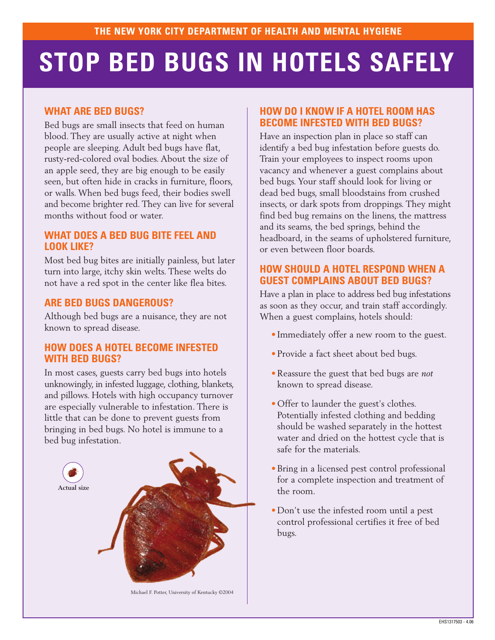# **STOP BED BUGS IN HOTELS SAFELY**

## **WHAT ARE BED BUGS?**

Bed bugs are small insects that feed on human blood. They are usually active at night when people are sleeping. Adult bed bugs have flat, rusty-red-colored oval bodies. About the size of an apple seed, they are big enough to be easily seen, but often hide in cracks in furniture, floors, or walls. When bed bugs feed, their bodies swell and become brighter red. They can live for several months without food or water.

### **WHAT DOES A BED BUG BITE FEEL AND LOOK LIKE?**

Most bed bug bites are initially painless, but later turn into large, itchy skin welts. These welts do not have a red spot in the center like flea bites.

## **ARE BED BUGS DANGEROUS?**

Although bed bugs are a nuisance, they are not known to spread disease.

#### **HOW DOES A HOTEL BECOME INFESTED WITH BED BUGS?**

In most cases, guests carry bed bugs into hotels unknowingly, in infested luggage, clothing, blankets, and pillows. Hotels with high occupancy turnover are especially vulnerable to infestation. There is little that can be done to prevent guests from bringing in bed bugs. No hotel is immune to a bed bug infestation.



#### **HOW DO I KNOW IF A HOTEL ROOM HAS BECOME INFESTED WITH BED BUGS?**

Have an inspection plan in place so staff can identify a bed bug infestation before guests do. Train your employees to inspect rooms upon vacancy and whenever a guest complains about bed bugs. Your staff should look for living or dead bed bugs, small bloodstains from crushed insects, or dark spots from droppings. They might find bed bug remains on the linens, the mattress and its seams, the bed springs, behind the headboard, in the seams of upholstered furniture, or even between floor boards.

## **HOW SHOULD A HOTEL RESPOND WHEN A GUEST COMPLAINS ABOUT BED BUGS?**

Have a plan in place to address bed bug infestations as soon as they occur, and train staff accordingly. When a guest complains, hotels should:

- Immediately offer a new room to the guest.
- Provide a fact sheet about bed bugs.
- •Reassure the guest that bed bugs are *not* known to spread disease.
- Offer to launder the guest's clothes. Potentially infested clothing and bedding should be washed separately in the hottest water and dried on the hottest cycle that is safe for the materials.
- •Bring in a licensed pest control professional for a complete inspection and treatment of the room.
- Don't use the infested room until a pest control professional certifies it free of bed bugs.